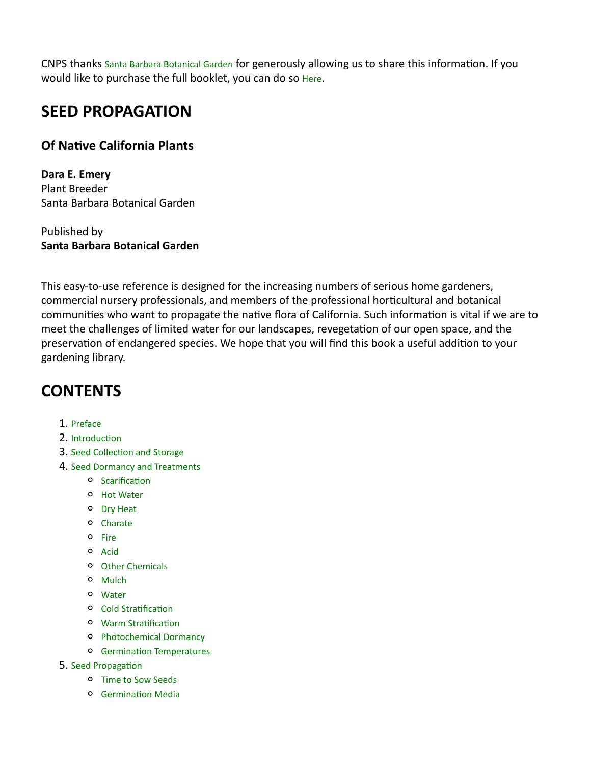CNPS thanks Santa Barbara Botanical Garden for generously allowing us to share this information. If you would like to purchase the full booklet, you can do so Here.

## **SEED PROPAGATION**

## **Of Nave California Plants**

**Dara E. Emery** Plant Breeder Santa Barbara Botanical Garden

Published by **Santa Barbara Botanical Garden**

This easy-to-use reference is designed for the increasing numbers of serious home gardeners, commercial nursery professionals, and members of the professional horticultural and botanical communities who want to propagate the native flora of California. Such information is vital if we are to meet the challenges of limited water for our landscapes, revegetation of our open space, and the preservation of endangered species. We hope that you will find this book a useful addition to your gardening library.

## **CONTENTS**

1. Preface

#### 2. Introduction

- 3. Seed Collection and Storage
- 4. Seed Dormancy and Treatments
	- **o** Scarification
	- Hot Water
	- Dry Heat
	- Charate
	- o Fire
	- Acid
	- Other Chemicals
	- o Mulch
	- Water
	- <sup>o</sup> Cold Stratification
	- o Warm Stratification
	- Photochemical Dormancy
	- **o** Germination Temperatures
- 5. Seed Propagation
	- Time to Sow Seeds
	- **O** Germination Media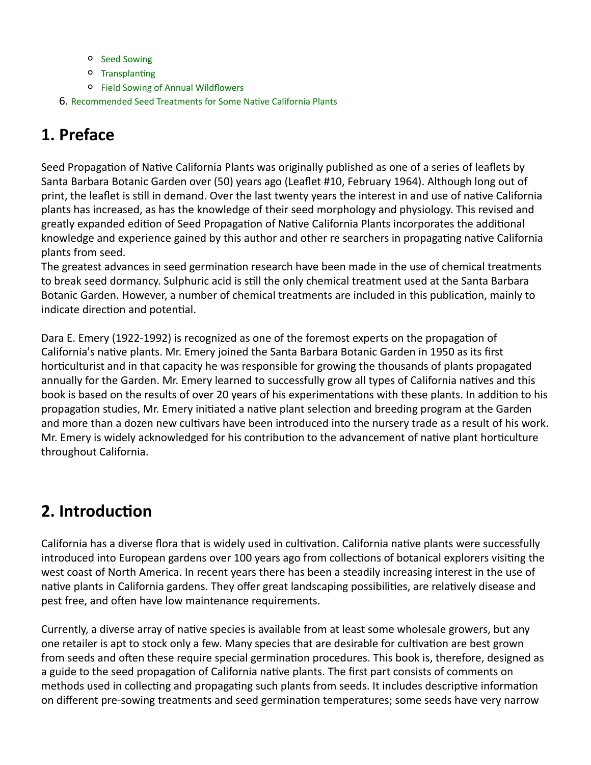- o Seed Sowing
- o Transplanting
- Field Sowing of Annual Wildflowers
- 6. Recommended Seed Treatments for Some Native California Plants

# **1. Preface**

Seed Propagation of Native California Plants was originally published as one of a series of leaflets by Santa Barbara Botanic Garden over (50) years ago (Leaflet #10, February 1964). Although long out of print, the leaflet is still in demand. Over the last twenty years the interest in and use of native California plants has increased, as has the knowledge of their seed morphology and physiology. This revised and greatly expanded edition of Seed Propagation of Native California Plants incorporates the additional knowledge and experience gained by this author and other re searchers in propagating native California plants from seed.

The greatest advances in seed germination research have been made in the use of chemical treatments to break seed dormancy. Sulphuric acid is still the only chemical treatment used at the Santa Barbara Botanic Garden. However, a number of chemical treatments are included in this publication, mainly to indicate direction and potential.

Dara E. Emery (1922-1992) is recognized as one of the foremost experts on the propagation of California's native plants. Mr. Emery joined the Santa Barbara Botanic Garden in 1950 as its first horticulturist and in that capacity he was responsible for growing the thousands of plants propagated annually for the Garden. Mr. Emery learned to successfully grow all types of California natives and this book is based on the results of over 20 years of his experimentations with these plants. In addition to his propagation studies, Mr. Emery initiated a native plant selection and breeding program at the Garden and more than a dozen new cultivars have been introduced into the nursery trade as a result of his work. Mr. Emery is widely acknowledged for his contribution to the advancement of native plant horticulture throughout California.

## **2. Introduction**

California has a diverse flora that is widely used in cultivation. California native plants were successfully introduced into European gardens over 100 years ago from collections of botanical explorers visiting the west coast of North America. In recent years there has been a steadily increasing interest in the use of native plants in California gardens. They offer great landscaping possibilities, are relatively disease and pest free, and often have low maintenance requirements.

Currently, a diverse array of native species is available from at least some wholesale growers, but any one retailer is apt to stock only a few. Many species that are desirable for cultivation are best grown from seeds and often these require special germination procedures. This book is, therefore, designed as a guide to the seed propagation of California native plants. The first part consists of comments on methods used in collecting and propagating such plants from seeds. It includes descriptive information on different pre-sowing treatments and seed germination temperatures; some seeds have very narrow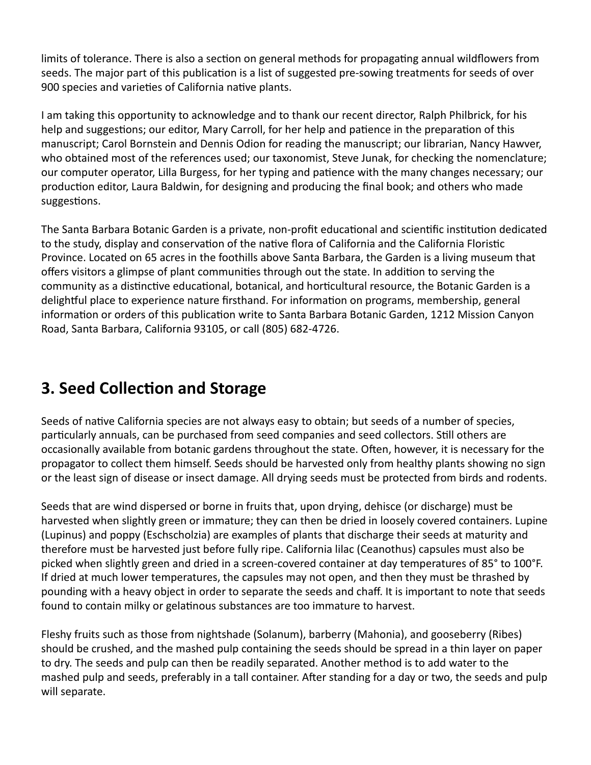limits of tolerance. There is also a section on general methods for propagating annual wildflowers from seeds. The major part of this publication is a list of suggested pre-sowing treatments for seeds of over 900 species and varieties of California native plants.

I am taking this opportunity to acknowledge and to thank our recent director, Ralph Philbrick, for his help and suggestions; our editor, Mary Carroll, for her help and patience in the preparation of this manuscript; Carol Bornstein and Dennis Odion for reading the manuscript; our librarian, Nancy Hawver, who obtained most of the references used; our taxonomist, Steve Junak, for checking the nomenclature; our computer operator, Lilla Burgess, for her typing and patience with the many changes necessary; our production editor, Laura Baldwin, for designing and producing the final book; and others who made suggestions.

The Santa Barbara Botanic Garden is a private, non-profit educational and scientific institution dedicated to the study, display and conservation of the native flora of California and the California Floristic Province. Located on 65 acres in the foothills above Santa Barbara, the Garden is a living museum that offers visitors a glimpse of plant communities through out the state. In addition to serving the community as a distinctive educational, botanical, and horticultural resource, the Botanic Garden is a delightful place to experience nature firsthand. For information on programs, membership, general information or orders of this publication write to Santa Barbara Botanic Garden, 1212 Mission Canyon Road, Santa Barbara, California 93105, or call (805) 682‐4726.

# **3. Seed Collection and Storage**

Seeds of native California species are not always easy to obtain; but seeds of a number of species, particularly annuals, can be purchased from seed companies and seed collectors. Still others are occasionally available from botanic gardens throughout the state. Often, however, it is necessary for the propagator to collect them himself. Seeds should be harvested only from healthy plants showing no sign or the least sign of disease or insect damage. All drying seeds must be protected from birds and rodents.

Seeds that are wind dispersed or borne in fruits that, upon drying, dehisce (or discharge) must be harvested when slightly green or immature; they can then be dried in loosely covered containers. Lupine (Lupinus) and poppy (Eschscholzia) are examples of plants that discharge their seeds at maturity and therefore must be harvested just before fully ripe. California lilac (Ceanothus) capsules must also be picked when slightly green and dried in a screen-covered container at day temperatures of 85° to 100°F. If dried at much lower temperatures, the capsules may not open, and then they must be thrashed by pounding with a heavy object in order to separate the seeds and chaff. It is important to note that seeds found to contain milky or gelatinous substances are too immature to harvest.

Fleshy fruits such as those from nightshade (Solanum), barberry (Mahonia), and gooseberry (Ribes) should be crushed, and the mashed pulp containing the seeds should be spread in a thin layer on paper to dry. The seeds and pulp can then be readily separated. Another method is to add water to the mashed pulp and seeds, preferably in a tall container. After standing for a day or two, the seeds and pulp will separate.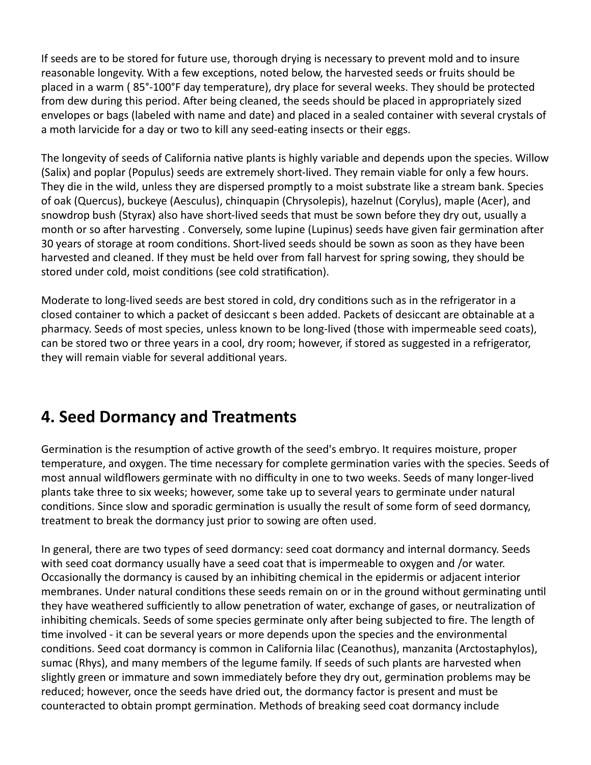If seeds are to be stored for future use, thorough drying is necessary to prevent mold and to insure reasonable longevity. With a few exceptions, noted below, the harvested seeds or fruits should be placed in a warm ( 85°‐100°F day temperature), dry place for several weeks. They should be protected from dew during this period. After being cleaned, the seeds should be placed in appropriately sized envelopes or bags (labeled with name and date) and placed in a sealed container with several crystals of a moth larvicide for a day or two to kill any seed-eating insects or their eggs.

The longevity of seeds of California native plants is highly variable and depends upon the species. Willow (Salix) and poplar (Populus) seeds are extremely short‐lived. They remain viable for only a few hours. They die in the wild, unless they are dispersed promptly to a moist substrate like a stream bank. Species of oak (Quercus), buckeye (Aesculus), chinquapin (Chrysolepis), hazelnut (Corylus), maple (Acer), and snowdrop bush (Styrax) also have short‐lived seeds that must be sown before they dry out, usually a month or so after harvesting . Conversely, some lupine (Lupinus) seeds have given fair germination after 30 years of storage at room conditions. Short-lived seeds should be sown as soon as they have been harvested and cleaned. If they must be held over from fall harvest for spring sowing, they should be stored under cold, moist conditions (see cold stratification).

Moderate to long-lived seeds are best stored in cold, dry conditions such as in the refrigerator in a closed container to which a packet of desiccant s been added. Packets of desiccant are obtainable at a pharmacy. Seeds of most species, unless known to be long‐lived (those with impermeable seed coats), can be stored two or three years in a cool, dry room; however, if stored as suggested in a refrigerator, they will remain viable for several additional years.

## **4. Seed Dormancy and Treatments**

Germination is the resumption of active growth of the seed's embryo. It requires moisture, proper temperature, and oxygen. The time necessary for complete germination varies with the species. Seeds of most annual wildflowers germinate with no difficulty in one to two weeks. Seeds of many longer‐lived plants take three to six weeks; however, some take up to several years to germinate under natural conditions. Since slow and sporadic germination is usually the result of some form of seed dormancy, treatment to break the dormancy just prior to sowing are often used.

In general, there are two types of seed dormancy: seed coat dormancy and internal dormancy. Seeds with seed coat dormancy usually have a seed coat that is impermeable to oxygen and /or water. Occasionally the dormancy is caused by an inhibiting chemical in the epidermis or adjacent interior membranes. Under natural conditions these seeds remain on or in the ground without germinating until they have weathered sufficiently to allow penetration of water, exchange of gases, or neutralization of inhibiting chemicals. Seeds of some species germinate only after being subjected to fire. The length of time involved - it can be several years or more depends upon the species and the environmental conditions. Seed coat dormancy is common in California lilac (Ceanothus), manzanita (Arctostaphylos), sumac (Rhys), and many members of the legume family. If seeds of such plants are harvested when slightly green or immature and sown immediately before they dry out, germination problems may be reduced; however, once the seeds have dried out, the dormancy factor is present and must be counteracted to obtain prompt germination. Methods of breaking seed coat dormancy include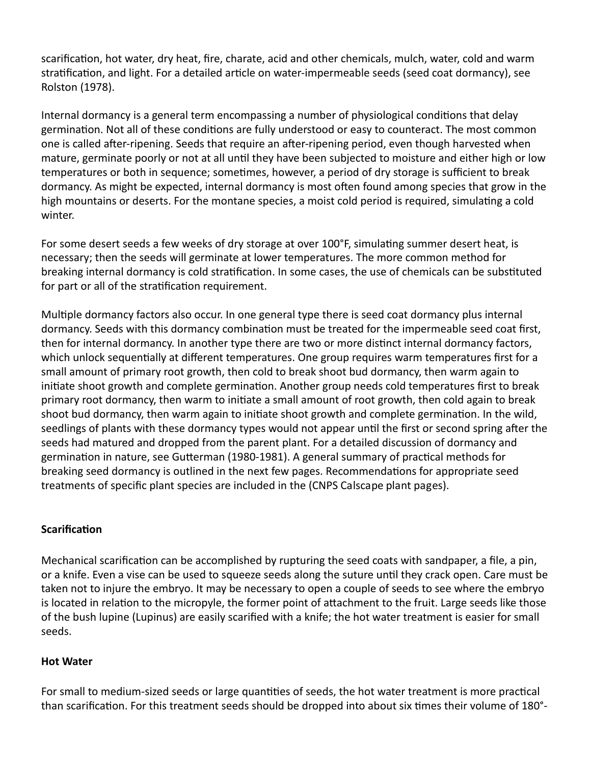scarification, hot water, dry heat, fire, charate, acid and other chemicals, mulch, water, cold and warm stratification, and light. For a detailed article on water-impermeable seeds (seed coat dormancy), see Rolston (1978).

Internal dormancy is a general term encompassing a number of physiological conditions that delay germination. Not all of these conditions are fully understood or easy to counteract. The most common one is called after-ripening. Seeds that require an after-ripening period, even though harvested when mature, germinate poorly or not at all until they have been subjected to moisture and either high or low temperatures or both in sequence; sometimes, however, a period of dry storage is sufficient to break dormancy. As might be expected, internal dormancy is most often found among species that grow in the high mountains or deserts. For the montane species, a moist cold period is required, simulating a cold winter.

For some desert seeds a few weeks of dry storage at over 100°F, simulating summer desert heat, is necessary; then the seeds will germinate at lower temperatures. The more common method for breaking internal dormancy is cold stratification. In some cases, the use of chemicals can be substituted for part or all of the stratification requirement.

Multiple dormancy factors also occur. In one general type there is seed coat dormancy plus internal dormancy. Seeds with this dormancy combination must be treated for the impermeable seed coat first, then for internal dormancy. In another type there are two or more distinct internal dormancy factors, which unlock sequentially at different temperatures. One group requires warm temperatures first for a small amount of primary root growth, then cold to break shoot bud dormancy, then warm again to initiate shoot growth and complete germination. Another group needs cold temperatures first to break primary root dormancy, then warm to iniate a small amount of root growth, then cold again to break shoot bud dormancy, then warm again to initiate shoot growth and complete germination. In the wild, seedlings of plants with these dormancy types would not appear until the first or second spring after the seeds had matured and dropped from the parent plant. For a detailed discussion of dormancy and germination in nature, see Gutterman (1980-1981). A general summary of practical methods for breaking seed dormancy is outlined in the next few pages. Recommendations for appropriate seed treatments of specific plant species are included in the (CNPS Calscape plant pages).

### **Scarification**

Mechanical scarification can be accomplished by rupturing the seed coats with sandpaper, a file, a pin, or a knife. Even a vise can be used to squeeze seeds along the suture until they crack open. Care must be taken not to injure the embryo. It may be necessary to open a couple of seeds to see where the embryo is located in relation to the micropyle, the former point of attachment to the fruit. Large seeds like those of the bush lupine (Lupinus) are easily scarified with a knife; the hot water treatment is easier for small seeds.

## **Hot Water**

For small to medium-sized seeds or large quantities of seeds, the hot water treatment is more practical than scarification. For this treatment seeds should be dropped into about six times their volume of 180°-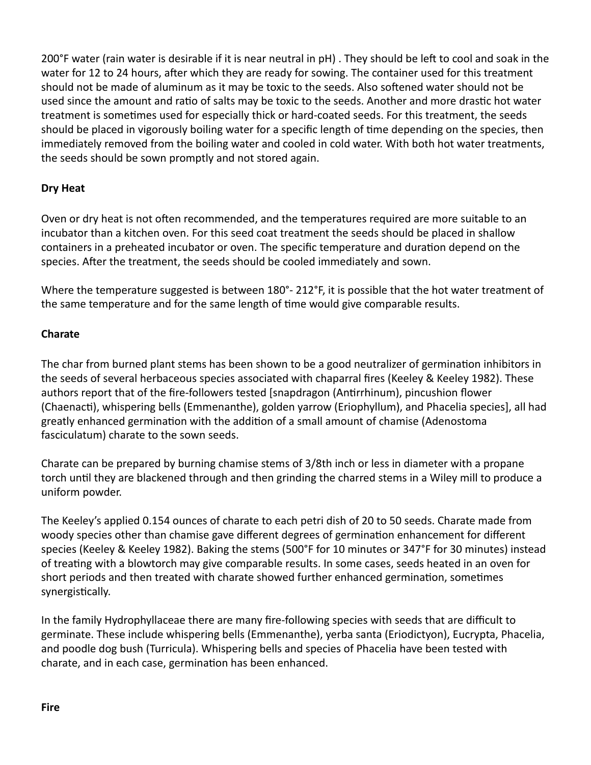200°F water (rain water is desirable if it is near neutral in pH). They should be left to cool and soak in the water for 12 to 24 hours, after which they are ready for sowing. The container used for this treatment should not be made of aluminum as it may be toxic to the seeds. Also softened water should not be used since the amount and ratio of salts may be toxic to the seeds. Another and more drastic hot water treatment is sometimes used for especially thick or hard-coated seeds. For this treatment, the seeds should be placed in vigorously boiling water for a specific length of time depending on the species, then immediately removed from the boiling water and cooled in cold water. With both hot water treatments, the seeds should be sown promptly and not stored again.

## **Dry Heat**

Oven or dry heat is not often recommended, and the temperatures required are more suitable to an incubator than a kitchen oven. For this seed coat treatment the seeds should be placed in shallow containers in a preheated incubator or oven. The specific temperature and duration depend on the species. After the treatment, the seeds should be cooled immediately and sown.

Where the temperature suggested is between 180°- 212°F, it is possible that the hot water treatment of the same temperature and for the same length of time would give comparable results.

## **Charate**

The char from burned plant stems has been shown to be a good neutralizer of germination inhibitors in the seeds of several herbaceous species associated with chaparral fires (Keeley & Keeley 1982). These authors report that of the fire-followers tested [snapdragon (Antirrhinum), pincushion flower (Chaenacti), whispering bells (Emmenanthe), golden yarrow (Eriophyllum), and Phacelia species], all had greatly enhanced germination with the addition of a small amount of chamise (Adenostoma fasciculatum) charate to the sown seeds.

Charate can be prepared by burning chamise stems of 3/8th inch or less in diameter with a propane torch until they are blackened through and then grinding the charred stems in a Wiley mill to produce a uniform powder.

The Keeley's applied 0.154 ounces of charate to each petri dish of 20 to 50 seeds. Charate made from woody species other than chamise gave different degrees of germination enhancement for different species (Keeley & Keeley 1982). Baking the stems (500°F for 10 minutes or 347°F for 30 minutes) instead of treating with a blowtorch may give comparable results. In some cases, seeds heated in an oven for short periods and then treated with charate showed further enhanced germination, sometimes synergistically.

In the family Hydrophyllaceae there are many fire‐following species with seeds that are difficult to germinate. These include whispering bells (Emmenanthe), yerba santa (Eriodictyon), Eucrypta, Phacelia, and poodle dog bush (Turricula). Whispering bells and species of Phacelia have been tested with charate, and in each case, germination has been enhanced.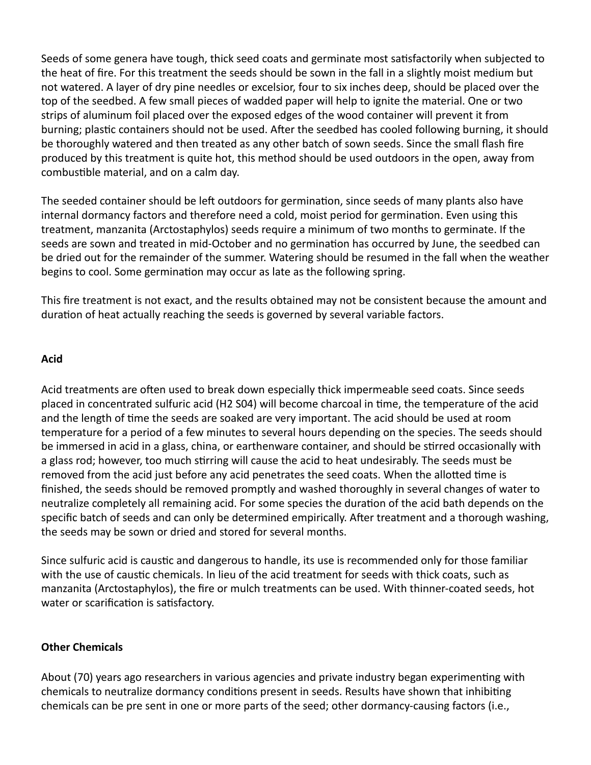Seeds of some genera have tough, thick seed coats and germinate most satisfactorily when subjected to the heat of fire. For this treatment the seeds should be sown in the fall in a slightly moist medium but not watered. A layer of dry pine needles or excelsior, four to six inches deep, should be placed over the top of the seedbed. A few small pieces of wadded paper will help to ignite the material. One or two strips of aluminum foil placed over the exposed edges of the wood container will prevent it from burning; plastic containers should not be used. After the seedbed has cooled following burning, it should be thoroughly watered and then treated as any other batch of sown seeds. Since the small flash fire produced by this treatment is quite hot, this method should be used outdoors in the open, away from combustible material, and on a calm day.

The seeded container should be left outdoors for germination, since seeds of many plants also have internal dormancy factors and therefore need a cold, moist period for germination. Even using this treatment, manzanita (Arctostaphylos) seeds require a minimum of two months to germinate. If the seeds are sown and treated in mid-October and no germination has occurred by June, the seedbed can be dried out for the remainder of the summer. Watering should be resumed in the fall when the weather begins to cool. Some germination may occur as late as the following spring.

This fire treatment is not exact, and the results obtained may not be consistent because the amount and duration of heat actually reaching the seeds is governed by several variable factors.

### **Acid**

Acid treatments are often used to break down especially thick impermeable seed coats. Since seeds placed in concentrated sulfuric acid (H2 S04) will become charcoal in time, the temperature of the acid and the length of time the seeds are soaked are very important. The acid should be used at room temperature for a period of a few minutes to several hours depending on the species. The seeds should be immersed in acid in a glass, china, or earthenware container, and should be stirred occasionally with a glass rod; however, too much srring will cause the acid to heat undesirably. The seeds must be removed from the acid just before any acid penetrates the seed coats. When the allotted time is finished, the seeds should be removed promptly and washed thoroughly in several changes of water to neutralize completely all remaining acid. For some species the duration of the acid bath depends on the specific batch of seeds and can only be determined empirically. After treatment and a thorough washing, the seeds may be sown or dried and stored for several months.

Since sulfuric acid is caustic and dangerous to handle, its use is recommended only for those familiar with the use of caustic chemicals. In lieu of the acid treatment for seeds with thick coats, such as manzanita (Arctostaphylos), the fire or mulch treatments can be used. With thinner‐coated seeds, hot water or scarification is satisfactory.

#### **Other Chemicals**

About (70) years ago researchers in various agencies and private industry began experimenng with chemicals to neutralize dormancy conditions present in seeds. Results have shown that inhibiting chemicals can be pre sent in one or more parts of the seed; other dormancy‐causing factors (i.e.,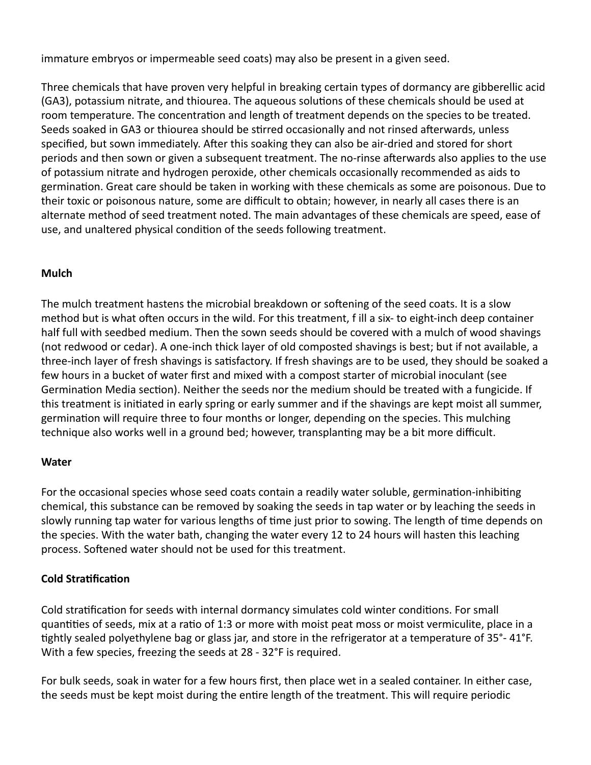immature embryos or impermeable seed coats) may also be present in a given seed.

Three chemicals that have proven very helpful in breaking certain types of dormancy are gibberellic acid (GA3), potassium nitrate, and thiourea. The aqueous solutions of these chemicals should be used at room temperature. The concentration and length of treatment depends on the species to be treated. Seeds soaked in GA3 or thiourea should be stirred occasionally and not rinsed afterwards, unless specified, but sown immediately. After this soaking they can also be air-dried and stored for short periods and then sown or given a subsequent treatment. The no-rinse afterwards also applies to the use of potassium nitrate and hydrogen peroxide, other chemicals occasionally recommended as aids to germination. Great care should be taken in working with these chemicals as some are poisonous. Due to their toxic or poisonous nature, some are difficult to obtain; however, in nearly all cases there is an alternate method of seed treatment noted. The main advantages of these chemicals are speed, ease of use, and unaltered physical condition of the seeds following treatment.

## **Mulch**

The mulch treatment hastens the microbial breakdown or softening of the seed coats. It is a slow method but is what often occurs in the wild. For this treatment, f ill a six- to eight-inch deep container half full with seedbed medium. Then the sown seeds should be covered with a mulch of wood shavings (not redwood or cedar). A one‐inch thick layer of old composted shavings is best; but if not available, a three-inch layer of fresh shavings is satisfactory. If fresh shavings are to be used, they should be soaked a few hours in a bucket of water first and mixed with a compost starter of microbial inoculant (see Germination Media section). Neither the seeds nor the medium should be treated with a fungicide. If this treatment is initiated in early spring or early summer and if the shavings are kept moist all summer, germination will require three to four months or longer, depending on the species. This mulching technique also works well in a ground bed; however, transplanting may be a bit more difficult.

### **Water**

For the occasional species whose seed coats contain a readily water soluble, germination-inhibiting chemical, this substance can be removed by soaking the seeds in tap water or by leaching the seeds in slowly running tap water for various lengths of time just prior to sowing. The length of time depends on the species. With the water bath, changing the water every 12 to 24 hours will hasten this leaching process. Softened water should not be used for this treatment.

## **Cold Stratification**

Cold stratification for seeds with internal dormancy simulates cold winter conditions. For small quantities of seeds, mix at a ratio of 1:3 or more with moist peat moss or moist vermiculite, place in a tightly sealed polyethylene bag or glass jar, and store in the refrigerator at a temperature of 35°-41°F. With a few species, freezing the seeds at 28 ‐ 32°F is required.

For bulk seeds, soak in water for a few hours first, then place wet in a sealed container. In either case, the seeds must be kept moist during the entire length of the treatment. This will require periodic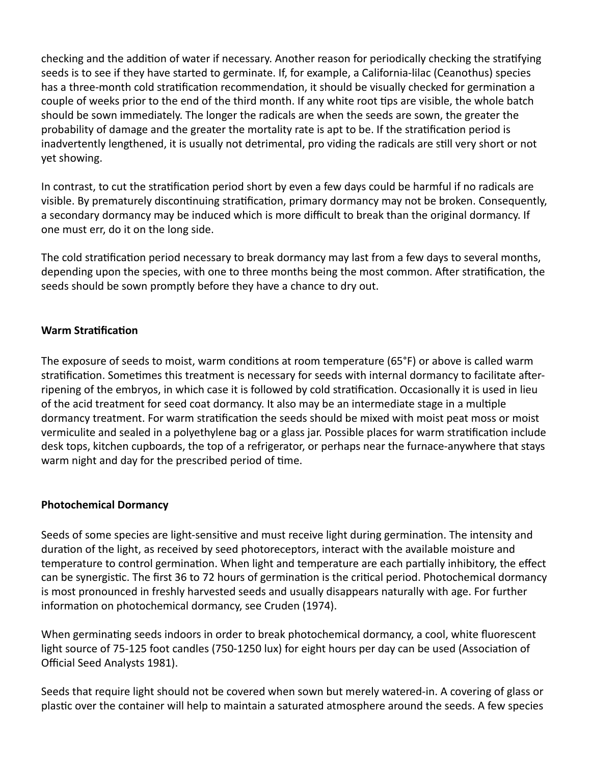checking and the addition of water if necessary. Another reason for periodically checking the stratifying seeds is to see if they have started to germinate. If, for example, a California‐lilac (Ceanothus) species has a three-month cold stratification recommendation, it should be visually checked for germination a couple of weeks prior to the end of the third month. If any white root tips are visible, the whole batch should be sown immediately. The longer the radicals are when the seeds are sown, the greater the probability of damage and the greater the mortality rate is apt to be. If the stratification period is inadvertently lengthened, it is usually not detrimental, pro viding the radicals are still very short or not yet showing.

In contrast, to cut the stratification period short by even a few days could be harmful if no radicals are visible. By prematurely discontinuing stratification, primary dormancy may not be broken. Consequently, a secondary dormancy may be induced which is more difficult to break than the original dormancy. If one must err, do it on the long side.

The cold stratification period necessary to break dormancy may last from a few days to several months, depending upon the species, with one to three months being the most common. After stratification, the seeds should be sown promptly before they have a chance to dry out.

### **Warm Stratification**

The exposure of seeds to moist, warm conditions at room temperature (65°F) or above is called warm stratification. Sometimes this treatment is necessary for seeds with internal dormancy to facilitate afterripening of the embryos, in which case it is followed by cold stratification. Occasionally it is used in lieu of the acid treatment for seed coat dormancy. It also may be an intermediate stage in a multiple dormancy treatment. For warm stratification the seeds should be mixed with moist peat moss or moist vermiculite and sealed in a polyethylene bag or a glass jar. Possible places for warm stratification include desk tops, kitchen cupboards, the top of a refrigerator, or perhaps near the furnace‐anywhere that stays warm night and day for the prescribed period of time.

### **Photochemical Dormancy**

Seeds of some species are light-sensitive and must receive light during germination. The intensity and duration of the light, as received by seed photoreceptors, interact with the available moisture and temperature to control germination. When light and temperature are each partially inhibitory, the effect can be synergistic. The first 36 to 72 hours of germination is the critical period. Photochemical dormancy is most pronounced in freshly harvested seeds and usually disappears naturally with age. For further information on photochemical dormancy, see Cruden (1974).

When germinating seeds indoors in order to break photochemical dormancy, a cool, white fluorescent light source of 75-125 foot candles (750-1250 lux) for eight hours per day can be used (Association of Official Seed Analysts 1981).

Seeds that require light should not be covered when sown but merely watered‐in. A covering of glass or plastic over the container will help to maintain a saturated atmosphere around the seeds. A few species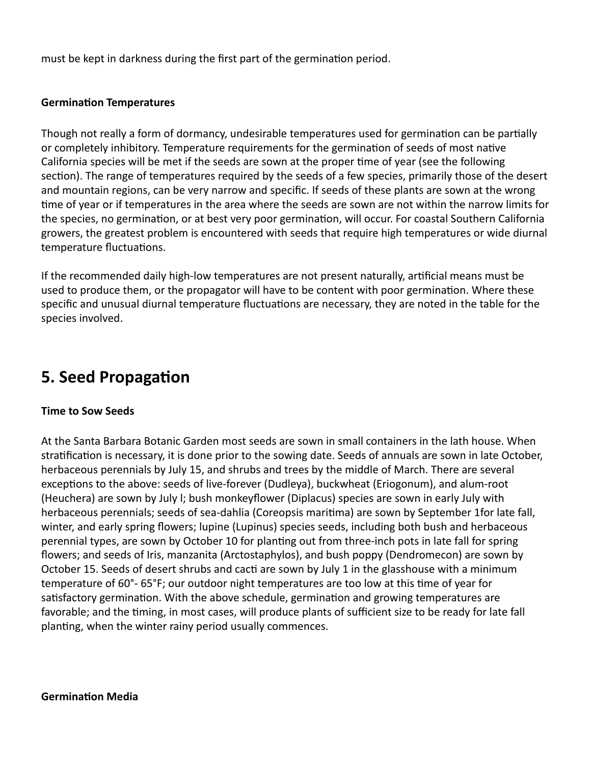must be kept in darkness during the first part of the germination period.

#### **Germination Temperatures**

Though not really a form of dormancy, undesirable temperatures used for germination can be partially or completely inhibitory. Temperature requirements for the germination of seeds of most native California species will be met if the seeds are sown at the proper time of year (see the following section). The range of temperatures required by the seeds of a few species, primarily those of the desert and mountain regions, can be very narrow and specific. If seeds of these plants are sown at the wrong me of year or if temperatures in the area where the seeds are sown are not within the narrow limits for the species, no germination, or at best very poor germination, will occur. For coastal Southern California growers, the greatest problem is encountered with seeds that require high temperatures or wide diurnal temperature fluctuations.

If the recommended daily high‐low temperatures are not present naturally, arficial means must be used to produce them, or the propagator will have to be content with poor germination. Where these specific and unusual diurnal temperature fluctuations are necessary, they are noted in the table for the species involved.

## **5. Seed Propagation**

#### **Time to Sow Seeds**

At the Santa Barbara Botanic Garden most seeds are sown in small containers in the lath house. When stratification is necessary, it is done prior to the sowing date. Seeds of annuals are sown in late October, herbaceous perennials by July 15, and shrubs and trees by the middle of March. There are several exceptions to the above: seeds of live-forever (Dudleya), buckwheat (Eriogonum), and alum-root (Heuchera) are sown by July l; bush monkeyflower (Diplacus) species are sown in early July with herbaceous perennials; seeds of sea-dahlia (Coreopsis maritima) are sown by September 1for late fall, winter, and early spring flowers; lupine (Lupinus) species seeds, including both bush and herbaceous perennial types, are sown by October 10 for planting out from three-inch pots in late fall for spring flowers; and seeds of Iris, manzanita (Arctostaphylos), and bush poppy (Dendromecon) are sown by October 15. Seeds of desert shrubs and cacti are sown by July 1 in the glasshouse with a minimum temperature of 60°-65°F; our outdoor night temperatures are too low at this time of year for satisfactory germination. With the above schedule, germination and growing temperatures are favorable; and the timing, in most cases, will produce plants of sufficient size to be ready for late fall planting, when the winter rainy period usually commences.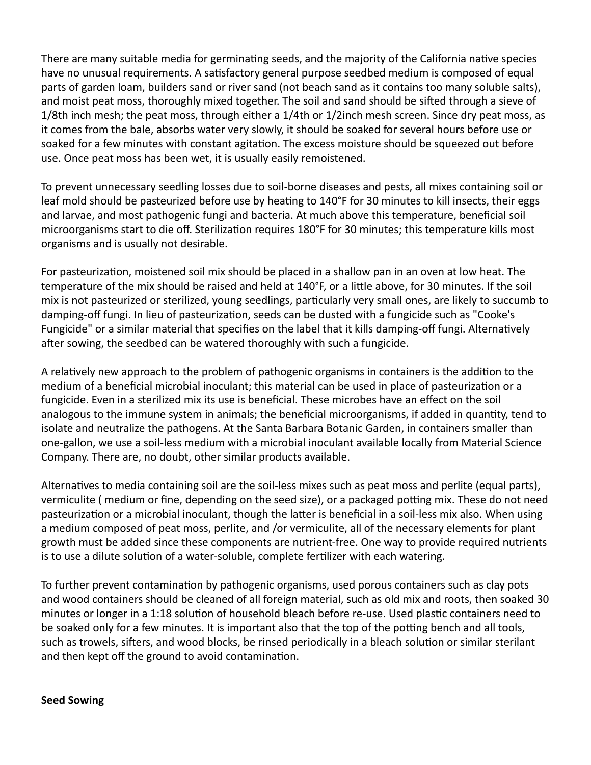There are many suitable media for germinating seeds, and the majority of the California native species have no unusual requirements. A satisfactory general purpose seedbed medium is composed of equal parts of garden loam, builders sand or river sand (not beach sand as it contains too many soluble salts), and moist peat moss, thoroughly mixed together. The soil and sand should be sifted through a sieve of 1/8th inch mesh; the peat moss, through either a 1/4th or 1/2inch mesh screen. Since dry peat moss, as it comes from the bale, absorbs water very slowly, it should be soaked for several hours before use or soaked for a few minutes with constant agitation. The excess moisture should be squeezed out before use. Once peat moss has been wet, it is usually easily remoistened.

To prevent unnecessary seedling losses due to soil‐borne diseases and pests, all mixes containing soil or leaf mold should be pasteurized before use by heating to 140°F for 30 minutes to kill insects, their eggs and larvae, and most pathogenic fungi and bacteria. At much above this temperature, beneficial soil microorganisms start to die off. Sterilization requires 180°F for 30 minutes; this temperature kills most organisms and is usually not desirable.

For pasteurization, moistened soil mix should be placed in a shallow pan in an oven at low heat. The temperature of the mix should be raised and held at 140°F, or a little above, for 30 minutes. If the soil mix is not pasteurized or sterilized, young seedlings, particularly very small ones, are likely to succumb to damping-off fungi. In lieu of pasteurization, seeds can be dusted with a fungicide such as "Cooke's Fungicide" or a similar material that specifies on the label that it kills damping-off fungi. Alternatively after sowing, the seedbed can be watered thoroughly with such a fungicide.

A relatively new approach to the problem of pathogenic organisms in containers is the addition to the medium of a beneficial microbial inoculant; this material can be used in place of pasteurization or a fungicide. Even in a sterilized mix its use is beneficial. These microbes have an effect on the soil analogous to the immune system in animals; the beneficial microorganisms, if added in quantity, tend to isolate and neutralize the pathogens. At the Santa Barbara Botanic Garden, in containers smaller than one‐gallon, we use a soil‐less medium with a microbial inoculant available locally from Material Science Company. There are, no doubt, other similar products available.

Alternatives to media containing soil are the soil-less mixes such as peat moss and perlite (equal parts), vermiculite (medium or fine, depending on the seed size), or a packaged potting mix. These do not need pasteurization or a microbial inoculant, though the latter is beneficial in a soil-less mix also. When using a medium composed of peat moss, perlite, and /or vermiculite, all of the necessary elements for plant growth must be added since these components are nutrient-free. One way to provide required nutrients is to use a dilute solution of a water-soluble, complete fertilizer with each watering.

To further prevent contamination by pathogenic organisms, used porous containers such as clay pots and wood containers should be cleaned of all foreign material, such as old mix and roots, then soaked 30 minutes or longer in a 1:18 solution of household bleach before re-use. Used plastic containers need to be soaked only for a few minutes. It is important also that the top of the potting bench and all tools, such as trowels, sifters, and wood blocks, be rinsed periodically in a bleach solution or similar sterilant and then kept off the ground to avoid contamination.

#### **Seed Sowing**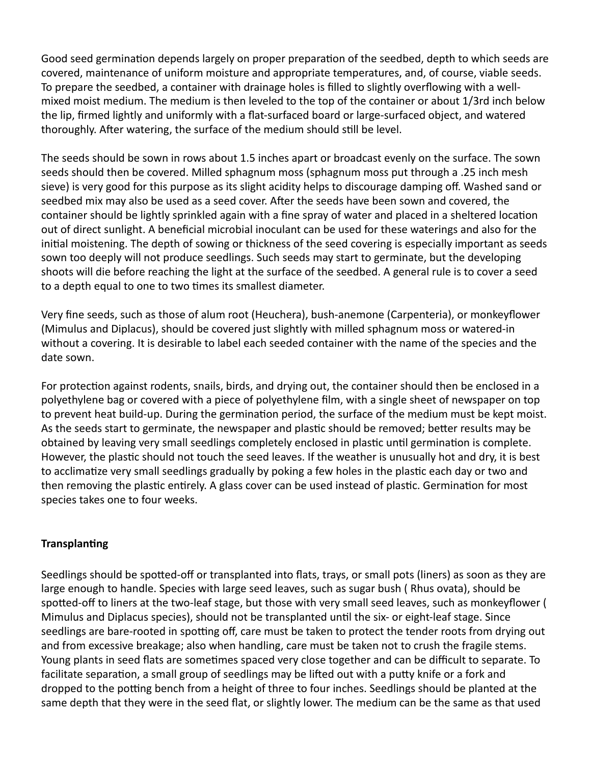Good seed germination depends largely on proper preparation of the seedbed, depth to which seeds are covered, maintenance of uniform moisture and appropriate temperatures, and, of course, viable seeds. To prepare the seedbed, a container with drainage holes is filled to slightly overflowing with a well‐ mixed moist medium. The medium is then leveled to the top of the container or about 1/3rd inch below the lip, firmed lightly and uniformly with a flat‐surfaced board or large‐surfaced object, and watered thoroughly. After watering, the surface of the medium should still be level.

The seeds should be sown in rows about 1.5 inches apart or broadcast evenly on the surface. The sown seeds should then be covered. Milled sphagnum moss (sphagnum moss put through a .25 inch mesh sieve) is very good for this purpose as its slight acidity helps to discourage damping off. Washed sand or seedbed mix may also be used as a seed cover. After the seeds have been sown and covered, the container should be lightly sprinkled again with a fine spray of water and placed in a sheltered location out of direct sunlight. A beneficial microbial inoculant can be used for these waterings and also for the initial moistening. The depth of sowing or thickness of the seed covering is especially important as seeds sown too deeply will not produce seedlings. Such seeds may start to germinate, but the developing shoots will die before reaching the light at the surface of the seedbed. A general rule is to cover a seed to a depth equal to one to two times its smallest diameter.

Very fine seeds, such as those of alum root (Heuchera), bush‐anemone (Carpenteria), or monkeyflower (Mimulus and Diplacus), should be covered just slightly with milled sphagnum moss or watered‐in without a covering. It is desirable to label each seeded container with the name of the species and the date sown.

For protection against rodents, snails, birds, and drying out, the container should then be enclosed in a polyethylene bag or covered with a piece of polyethylene film, with a single sheet of newspaper on top to prevent heat build-up. During the germination period, the surface of the medium must be kept moist. As the seeds start to germinate, the newspaper and plastic should be removed; better results may be obtained by leaving very small seedlings completely enclosed in plastic until germination is complete. However, the plastic should not touch the seed leaves. If the weather is unusually hot and dry, it is best to acclimatize very small seedlings gradually by poking a few holes in the plastic each day or two and then removing the plastic entirely. A glass cover can be used instead of plastic. Germination for most species takes one to four weeks.

### **Transplanting**

Seedlings should be spotted-off or transplanted into flats, trays, or small pots (liners) as soon as they are large enough to handle. Species with large seed leaves, such as sugar bush ( Rhus ovata), should be spotted-off to liners at the two-leaf stage, but those with very small seed leaves, such as monkeyflower ( Mimulus and Diplacus species), should not be transplanted until the six- or eight-leaf stage. Since seedlings are bare-rooted in spotting off, care must be taken to protect the tender roots from drying out and from excessive breakage; also when handling, care must be taken not to crush the fragile stems. Young plants in seed flats are sometimes spaced very close together and can be difficult to separate. To facilitate separation, a small group of seedlings may be lifted out with a putty knife or a fork and dropped to the potting bench from a height of three to four inches. Seedlings should be planted at the same depth that they were in the seed flat, or slightly lower. The medium can be the same as that used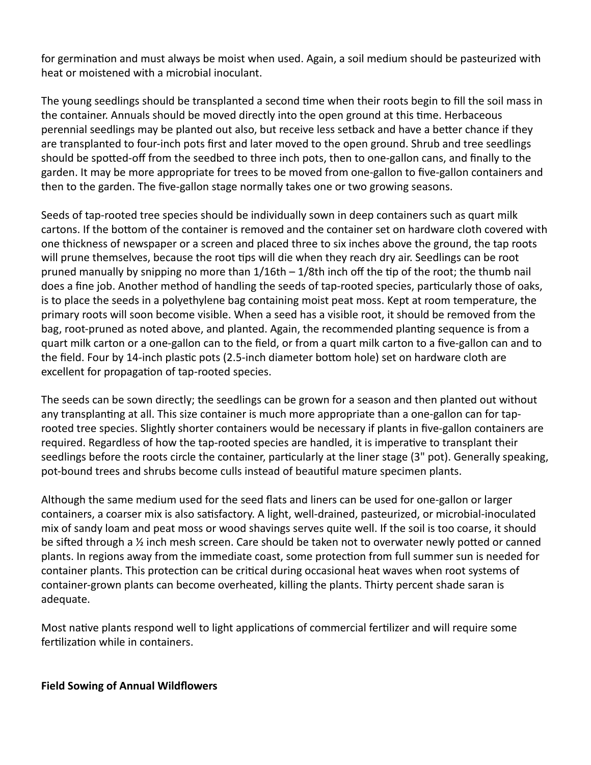for germination and must always be moist when used. Again, a soil medium should be pasteurized with heat or moistened with a microbial inoculant.

The young seedlings should be transplanted a second time when their roots begin to fill the soil mass in the container. Annuals should be moved directly into the open ground at this time. Herbaceous perennial seedlings may be planted out also, but receive less setback and have a better chance if they are transplanted to four‐inch pots first and later moved to the open ground. Shrub and tree seedlings should be spotted-off from the seedbed to three inch pots, then to one-gallon cans, and finally to the garden. It may be more appropriate for trees to be moved from one‐gallon to five‐gallon containers and then to the garden. The five‐gallon stage normally takes one or two growing seasons.

Seeds of tap-rooted tree species should be individually sown in deep containers such as quart milk cartons. If the bottom of the container is removed and the container set on hardware cloth covered with one thickness of newspaper or a screen and placed three to six inches above the ground, the tap roots will prune themselves, because the root tips will die when they reach dry air. Seedlings can be root pruned manually by snipping no more than  $1/16$ th –  $1/8$ th inch off the tip of the root; the thumb nail does a fine job. Another method of handling the seeds of tap-rooted species, particularly those of oaks, is to place the seeds in a polyethylene bag containing moist peat moss. Kept at room temperature, the primary roots will soon become visible. When a seed has a visible root, it should be removed from the bag, root-pruned as noted above, and planted. Again, the recommended planting sequence is from a quart milk carton or a one‐gallon can to the field, or from a quart milk carton to a five‐gallon can and to the field. Four by 14-inch plastic pots (2.5-inch diameter bottom hole) set on hardware cloth are excellent for propagation of tap-rooted species.

The seeds can be sown directly; the seedlings can be grown for a season and then planted out without any transplanting at all. This size container is much more appropriate than a one-gallon can for taprooted tree species. Slightly shorter containers would be necessary if plants in five‐gallon containers are required. Regardless of how the tap-rooted species are handled, it is imperative to transplant their seedlings before the roots circle the container, particularly at the liner stage (3" pot). Generally speaking, pot-bound trees and shrubs become culls instead of beautiful mature specimen plants.

Although the same medium used for the seed flats and liners can be used for one‐gallon or larger containers, a coarser mix is also satisfactory. A light, well-drained, pasteurized, or microbial-inoculated mix of sandy loam and peat moss or wood shavings serves quite well. If the soil is too coarse, it should be sifted through a  $\frac{1}{2}$  inch mesh screen. Care should be taken not to overwater newly potted or canned plants. In regions away from the immediate coast, some protection from full summer sun is needed for container plants. This protection can be critical during occasional heat waves when root systems of container‐grown plants can become overheated, killing the plants. Thirty percent shade saran is adequate.

Most native plants respond well to light applications of commercial fertilizer and will require some fertilization while in containers.

#### **Field Sowing of Annual Wildflowers**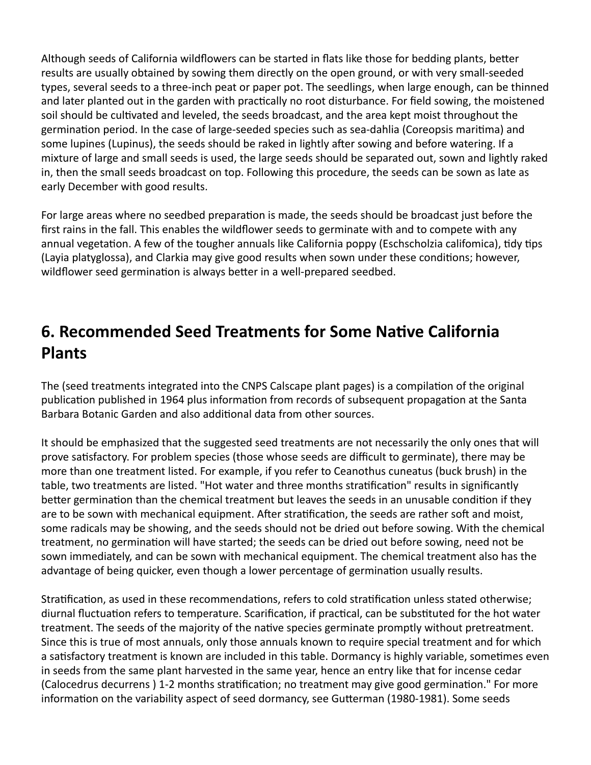Although seeds of California wildflowers can be started in flats like those for bedding plants, better results are usually obtained by sowing them directly on the open ground, or with very small‐seeded types, several seeds to a three‐inch peat or paper pot. The seedlings, when large enough, can be thinned and later planted out in the garden with practically no root disturbance. For field sowing, the moistened soil should be cultivated and leveled, the seeds broadcast, and the area kept moist throughout the germination period. In the case of large-seeded species such as sea-dahlia (Coreopsis maritima) and some lupines (Lupinus), the seeds should be raked in lightly after sowing and before watering. If a mixture of large and small seeds is used, the large seeds should be separated out, sown and lightly raked in, then the small seeds broadcast on top. Following this procedure, the seeds can be sown as late as early December with good results.

For large areas where no seedbed preparation is made, the seeds should be broadcast just before the first rains in the fall. This enables the wildflower seeds to germinate with and to compete with any annual vegetation. A few of the tougher annuals like California poppy (Eschscholzia califomica), tidy tips (Layia platyglossa), and Clarkia may give good results when sown under these conditions; however, wildflower seed germination is always better in a well-prepared seedbed.

# **6. Recommended Seed Treatments for Some Native California Plants**

The (seed treatments integrated into the CNPS Calscape plant pages) is a compilation of the original publication published in 1964 plus information from records of subsequent propagation at the Santa Barbara Botanic Garden and also additional data from other sources.

It should be emphasized that the suggested seed treatments are not necessarily the only ones that will prove satisfactory. For problem species (those whose seeds are difficult to germinate), there may be more than one treatment listed. For example, if you refer to Ceanothus cuneatus (buck brush) in the table, two treatments are listed. "Hot water and three months stratification" results in significantly better germination than the chemical treatment but leaves the seeds in an unusable condition if they are to be sown with mechanical equipment. After stratification, the seeds are rather soft and moist, some radicals may be showing, and the seeds should not be dried out before sowing. With the chemical treatment, no germination will have started; the seeds can be dried out before sowing, need not be sown immediately, and can be sown with mechanical equipment. The chemical treatment also has the advantage of being quicker, even though a lower percentage of germination usually results.

Stratification, as used in these recommendations, refers to cold stratification unless stated otherwise; diurnal fluctuation refers to temperature. Scarification, if practical, can be substituted for the hot water treatment. The seeds of the majority of the native species germinate promptly without pretreatment. Since this is true of most annuals, only those annuals known to require special treatment and for which a satisfactory treatment is known are included in this table. Dormancy is highly variable, sometimes even in seeds from the same plant harvested in the same year, hence an entry like that for incense cedar (Calocedrus decurrens) 1-2 months stratification; no treatment may give good germination." For more information on the variability aspect of seed dormancy, see Gutterman (1980-1981). Some seeds